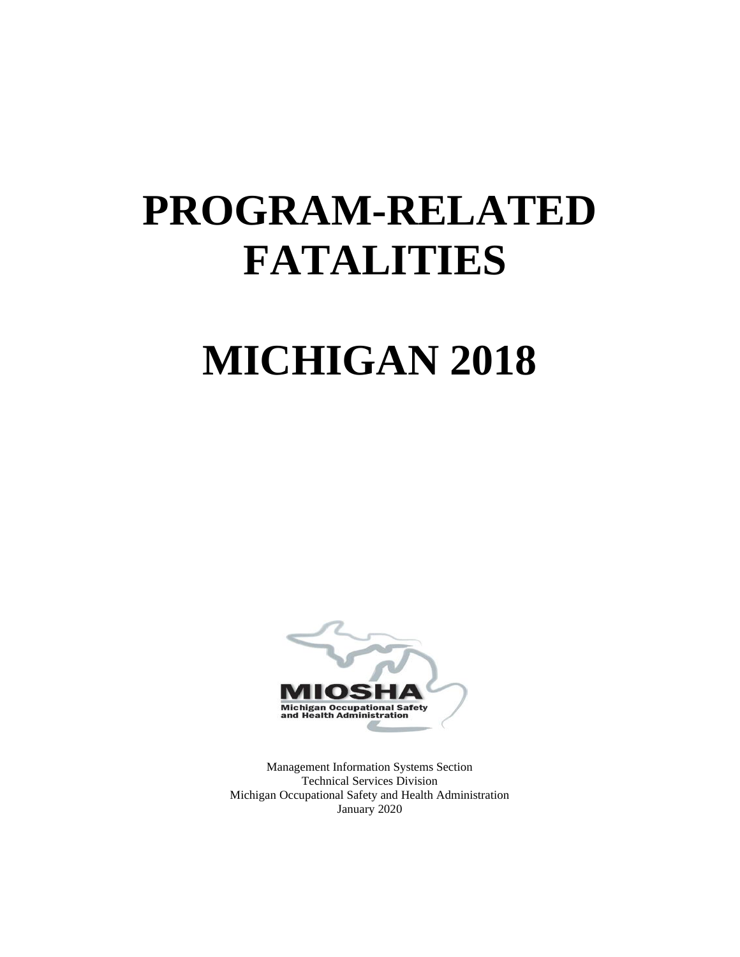# **PROGRAM-RELATED FATALITIES**

# **MICHIGAN 2018**



Management Information Systems Section Technical Services Division Michigan Occupational Safety and Health Administration January 2020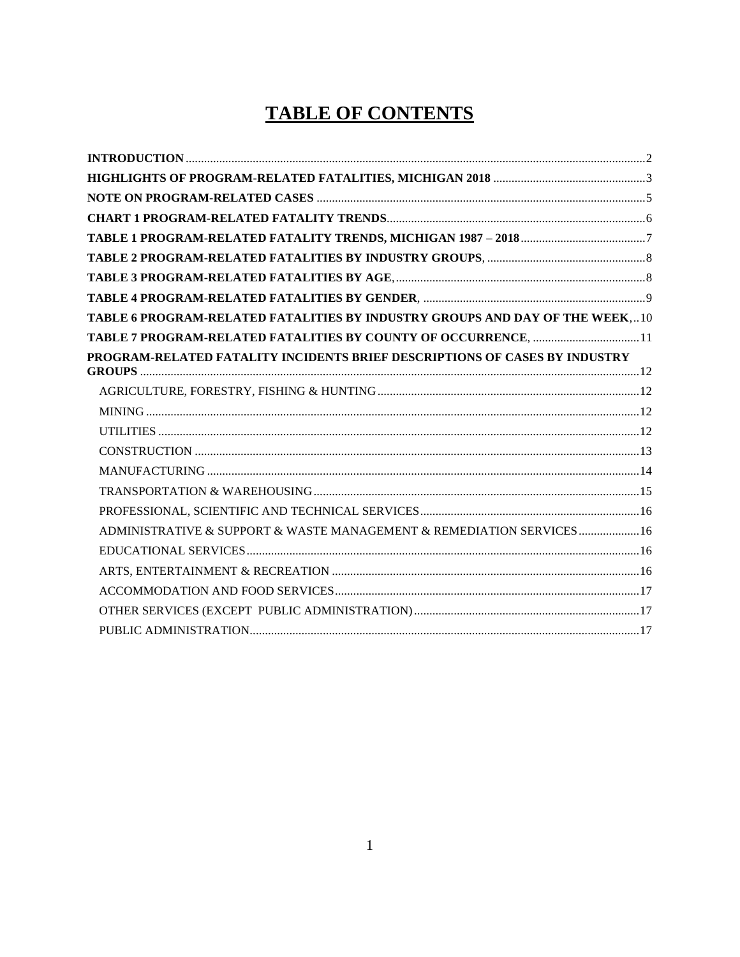# **TABLE OF CONTENTS**

| TABLE 6 PROGRAM-RELATED FATALITIES BY INDUSTRY GROUPS AND DAY OF THE WEEK,10 |  |
|------------------------------------------------------------------------------|--|
| TABLE 7 PROGRAM-RELATED FATALITIES BY COUNTY OF OCCURRENCE, 11               |  |
| PROGRAM-RELATED FATALITY INCIDENTS BRIEF DESCRIPTIONS OF CASES BY INDUSTRY   |  |
|                                                                              |  |
|                                                                              |  |
|                                                                              |  |
|                                                                              |  |
|                                                                              |  |
|                                                                              |  |
|                                                                              |  |
| ADMINISTRATIVE & SUPPORT & WASTE MANAGEMENT & REMEDIATION SERVICES16         |  |
|                                                                              |  |
|                                                                              |  |
|                                                                              |  |
|                                                                              |  |
|                                                                              |  |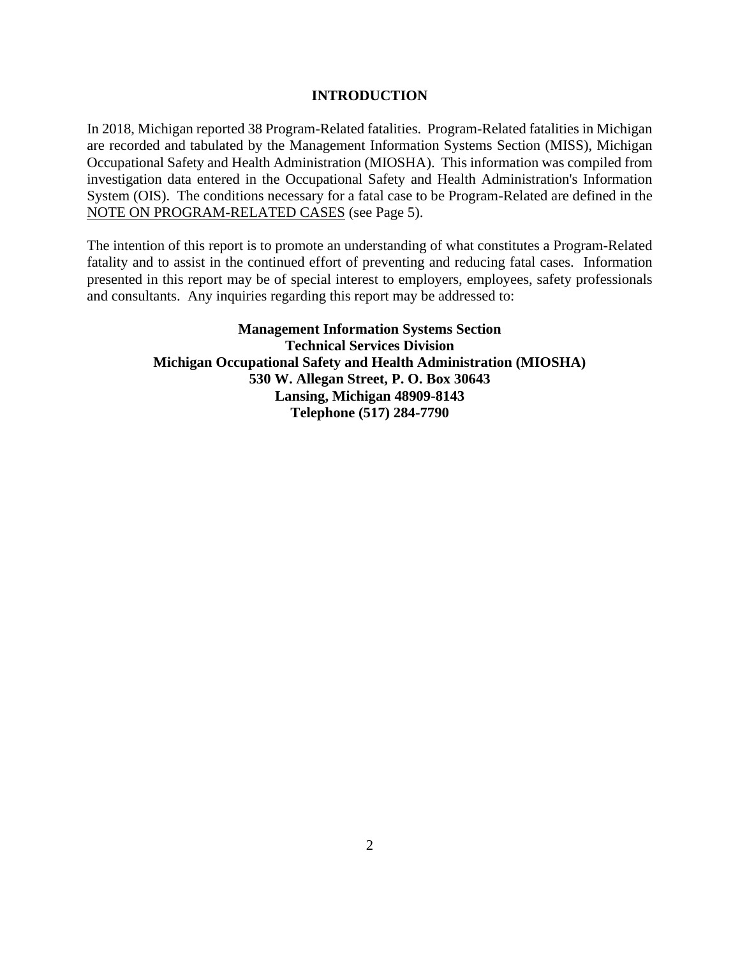#### **INTRODUCTION**

<span id="page-2-0"></span>In 2018, Michigan reported 38 Program-Related fatalities. Program-Related fatalities in Michigan are recorded and tabulated by the Management Information Systems Section (MISS), Michigan Occupational Safety and Health Administration (MIOSHA). This information was compiled from investigation data entered in the Occupational Safety and Health Administration's Information System (OIS). The conditions necessary for a fatal case to be Program-Related are defined in the [NOTE ON PROGRAM-RELATED CASES](#page-5-0) (see Page 5).

The intention of this report is to promote an understanding of what constitutes a Program-Related fatality and to assist in the continued effort of preventing and reducing fatal cases. Information presented in this report may be of special interest to employers, employees, safety professionals and consultants. Any inquiries regarding this report may be addressed to:

> **Management Information Systems Section Technical Services Division Michigan Occupational Safety and Health Administration (MIOSHA) 530 W. Allegan Street, P. O. Box 30643 Lansing, Michigan 48909-8143 Telephone (517) 284-7790**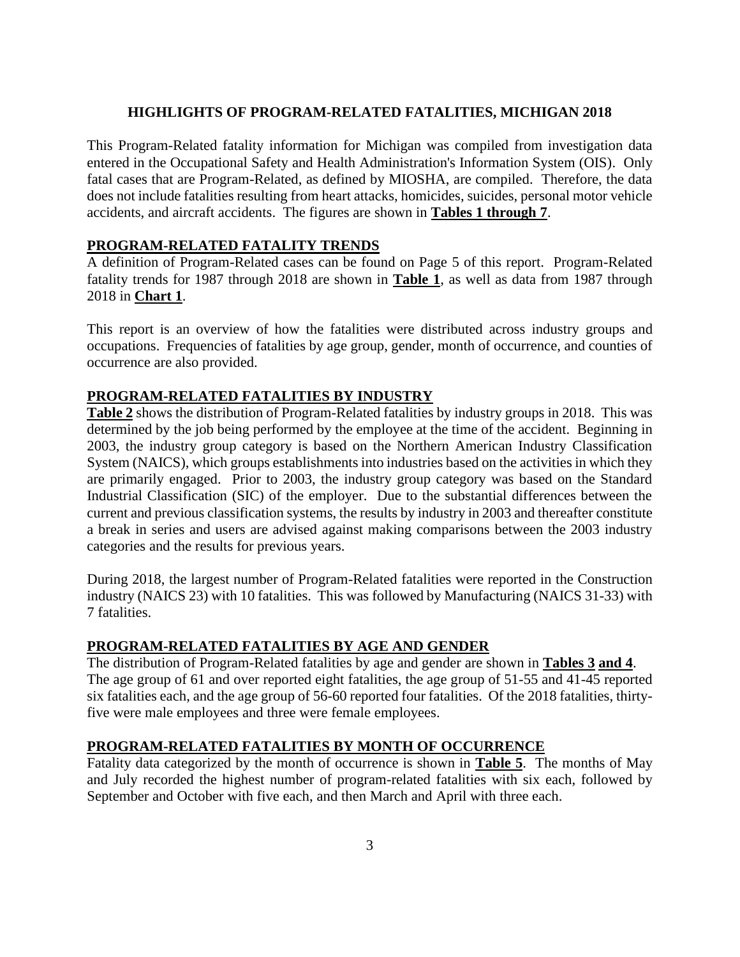#### **HIGHLIGHTS OF PROGRAM-RELATED FATALITIES, MICHIGAN 2018**

<span id="page-3-0"></span>This Program-Related fatality information for Michigan was compiled from investigation data entered in the Occupational Safety and Health Administration's Information System (OIS). Only fatal cases that are Program-Related, as defined by MIOSHA, are compiled. Therefore, the data does not include fatalities resulting from heart attacks, homicides, suicides, personal motor vehicle accidents, and aircraft accidents. The figures are shown in **[Tables 1 through 7](#page-7-0)**.

#### **PROGRAM-RELATED FATALITY TRENDS**

A definition of Program-Related cases can be found on Page 5 of this report. Program-Related fatality trends for 1987 through 2018 are shown in **[Table 1](#page-7-0)**, as well as data from 1987 through 2018 in **[Chart 1](#page-6-0)**.

This report is an overview of how the fatalities were distributed across industry groups and occupations. Frequencies of fatalities by age group, gender, month of occurrence, and counties of occurrence are also provided.

### **PROGRAM-RELATED FATALITIES BY INDUSTRY**

**[Table 2](#page-8-0)** shows the distribution of Program-Related fatalities by industry groups in 2018. This was determined by the job being performed by the employee at the time of the accident. Beginning in 2003, the industry group category is based on the Northern American Industry Classification System (NAICS), which groups establishments into industries based on the activities in which they are primarily engaged. Prior to 2003, the industry group category was based on the Standard Industrial Classification (SIC) of the employer. Due to the substantial differences between the current and previous classification systems, the results by industry in 2003 and thereafter constitute a break in series and users are advised against making comparisons between the 2003 industry categories and the results for previous years.

During 2018, the largest number of Program-Related fatalities were reported in the Construction industry (NAICS 23) with 10 fatalities. This was followed by Manufacturing (NAICS 31-33) with 7 fatalities.

#### **PROGRAM-RELATED FATALITIES BY AGE AND GENDER**

The distribution of Program-Related fatalities by age and gender are shown in **[Tables 3](#page-8-1) [and 4](#page-8-2)**. The age group of 61 and over reported eight fatalities, the age group of 51-55 and 41-45 reported six fatalities each, and the age group of 56-60 reported four fatalities. Of the 2018 fatalities, thirtyfive were male employees and three were female employees.

#### **PROGRAM-RELATED FATALITIES BY MONTH OF OCCURRENCE**

Fatality data categorized by the month of occurrence is shown in **[Table 5](#page-9-1)**.The months of May and July recorded the highest number of program-related fatalities with six each, followed by September and October with five each, and then March and April with three each.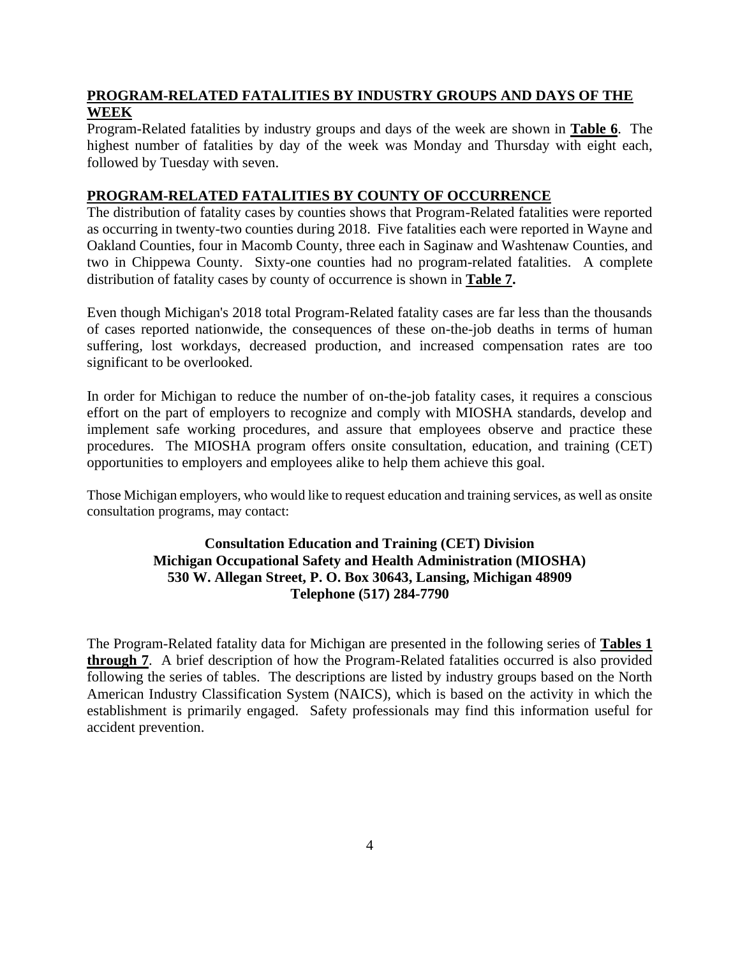# **PROGRAM-RELATED FATALITIES BY INDUSTRY GROUPS AND DAYS OF THE WEEK**

Program-Related fatalities by industry groups and days of the week are shown in **[Table 6](#page-10-0)**. The highest number of fatalities by day of the week was Monday and Thursday with eight each, followed by Tuesday with seven.

## **PROGRAM-RELATED FATALITIES BY COUNTY OF OCCURRENCE**

The distribution of fatality cases by counties shows that Program-Related fatalities were reported as occurring in twenty-two counties during 2018. Five fatalities each were reported in Wayne and Oakland Counties, four in Macomb County, three each in Saginaw and Washtenaw Counties, and two in Chippewa County. Sixty-one counties had no program-related fatalities. A complete distribution of fatality cases by county of occurrence is shown in **[Table 7.](#page-11-0)**

Even though Michigan's 2018 total Program-Related fatality cases are far less than the thousands of cases reported nationwide, the consequences of these on-the-job deaths in terms of human suffering, lost workdays, decreased production, and increased compensation rates are too significant to be overlooked.

In order for Michigan to reduce the number of on-the-job fatality cases, it requires a conscious effort on the part of employers to recognize and comply with MIOSHA standards, develop and implement safe working procedures, and assure that employees observe and practice these procedures. The MIOSHA program offers onsite consultation, education, and training (CET) opportunities to employers and employees alike to help them achieve this goal.

Those Michigan employers, who would like to request education and training services, as well as onsite consultation programs, may contact:

# **Consultation Education and Training (CET) Division Michigan Occupational Safety and Health Administration (MIOSHA) 530 W. Allegan Street, P. O. Box 30643, Lansing, Michigan 48909 Telephone (517) 284-7790**

The Program-Related fatality data for Michigan are presented in the following series of **[Tables 1](#page-7-0) [through 7](#page-7-0)**. A brief description of how the Program-Related fatalities occurred is also provided following the series of tables. The descriptions are listed by industry groups based on the North American Industry Classification System (NAICS), which is based on the activity in which the establishment is primarily engaged. Safety professionals may find this information useful for accident prevention.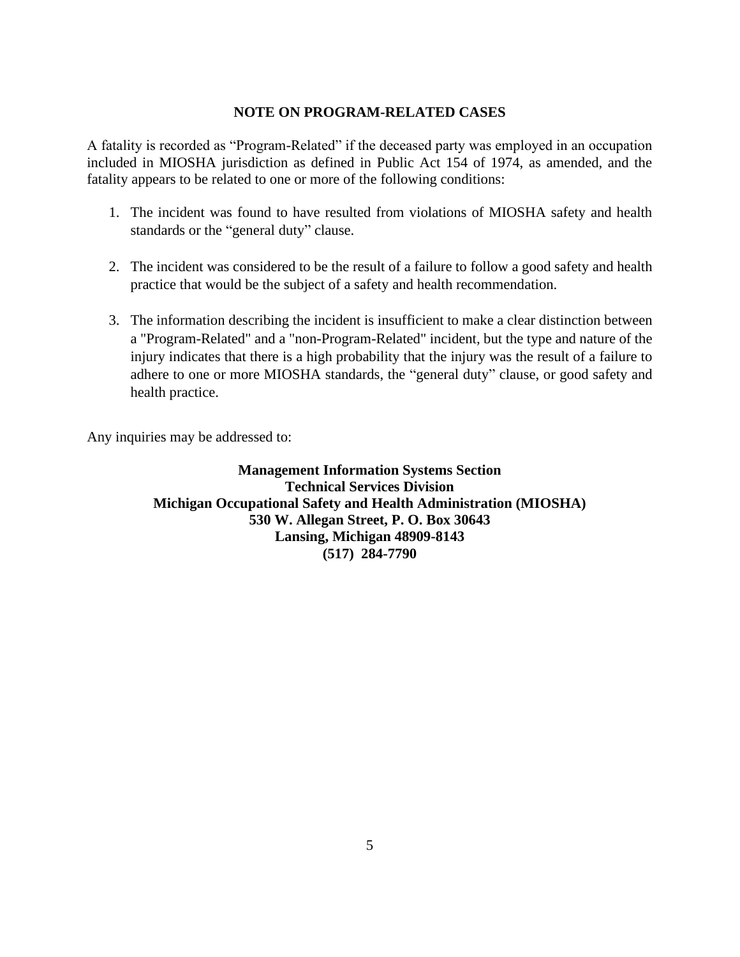#### **NOTE ON PROGRAM-RELATED CASES**

<span id="page-5-0"></span>A fatality is recorded as "Program-Related" if the deceased party was employed in an occupation included in MIOSHA jurisdiction as defined in Public Act 154 of 1974, as amended, and the fatality appears to be related to one or more of the following conditions:

- 1. The incident was found to have resulted from violations of MIOSHA safety and health standards or the "general duty" clause.
- 2. The incident was considered to be the result of a failure to follow a good safety and health practice that would be the subject of a safety and health recommendation.
- 3. The information describing the incident is insufficient to make a clear distinction between a "Program-Related" and a "non-Program-Related" incident, but the type and nature of the injury indicates that there is a high probability that the injury was the result of a failure to adhere to one or more MIOSHA standards, the "general duty" clause, or good safety and health practice.

Any inquiries may be addressed to:

**Management Information Systems Section Technical Services Division Michigan Occupational Safety and Health Administration (MIOSHA) 530 W. Allegan Street, P. O. Box 30643 Lansing, Michigan 48909-8143 (517) 284-7790**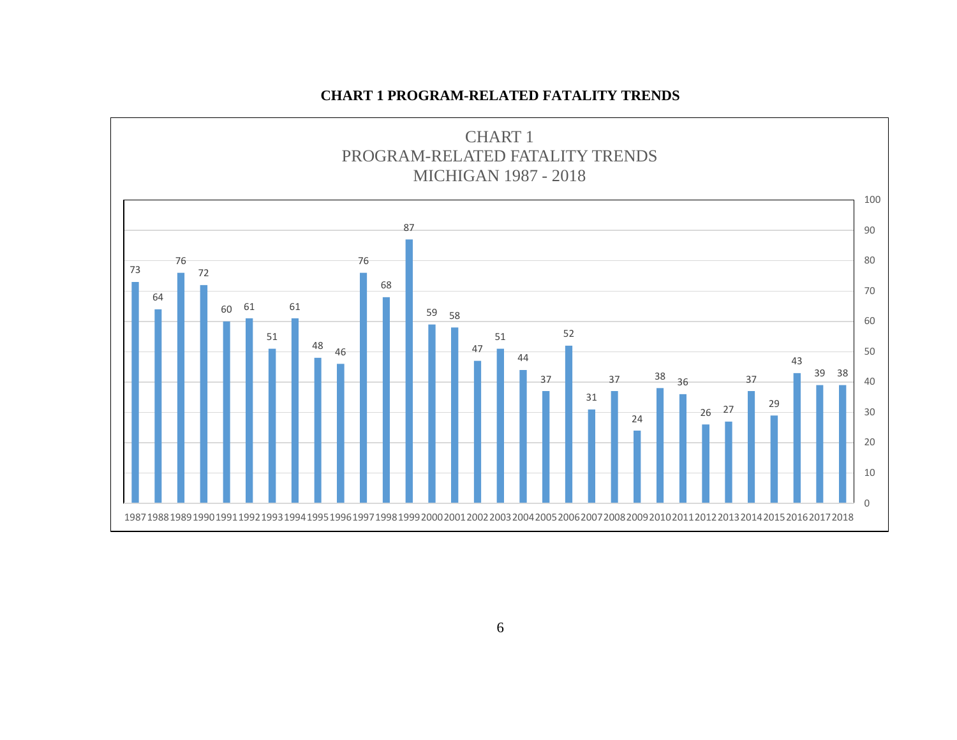# **CHART 1 PROGRAM-RELATED FATALITY TRENDS**

<span id="page-6-0"></span>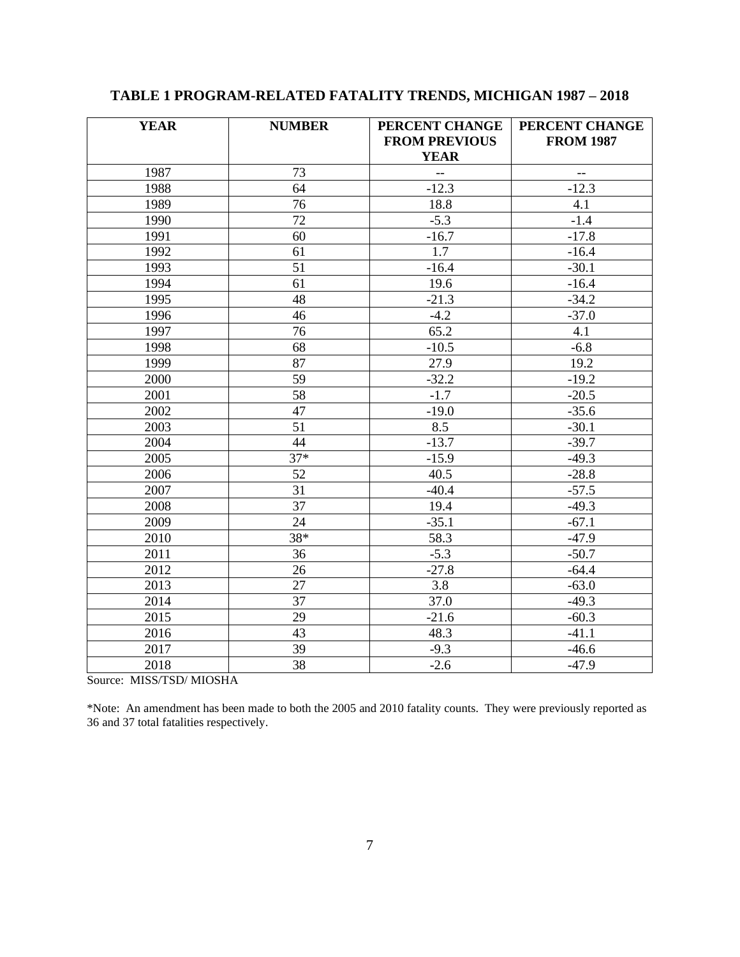| <b>YEAR</b> | <b>NUMBER</b>   | PERCENT CHANGE<br>PERCENT CHANGE |                                                     |
|-------------|-----------------|----------------------------------|-----------------------------------------------------|
|             |                 | <b>FROM PREVIOUS</b>             | <b>FROM 1987</b>                                    |
|             |                 | <b>YEAR</b>                      |                                                     |
| 1987        | 73              | $\overline{a}$                   | $\hspace{0.05cm} -\hspace{0.05cm} -\hspace{0.05cm}$ |
| 1988        | 64              | $-12.3$                          | $-12.3$                                             |
| 1989        | 76              | 18.8                             | 4.1                                                 |
| 1990        | 72              | $-5.3$                           | $-1.4$                                              |
| 1991        | 60              | $-16.7$                          | $-17.8$                                             |
| 1992        | 61              | 1.7                              | $-16.4$                                             |
| 1993        | 51              | $-16.4$                          | $-30.1$                                             |
| 1994        | 61              | 19.6                             | $-16.4$                                             |
| 1995        | 48              | $-21.3$                          | $-34.2$                                             |
| 1996        | 46              | $-4.2$                           | $-37.0$                                             |
| 1997        | 76              | 65.2                             | 4.1                                                 |
| 1998        | 68              | $-10.5$                          | $-6.8$                                              |
| 1999        | 87              | 27.9                             | 19.2                                                |
| 2000        | 59              | $-32.2$                          | $-19.2$                                             |
| 2001        | $\overline{58}$ | $-1.7$                           | $-20.5$                                             |
| 2002        | 47              | $-19.0$                          | $-35.6$                                             |
| 2003        | 51              | 8.5                              | $-30.1$                                             |
| 2004        | 44              | $-13.7$                          | $-39.7$                                             |
| 2005        | $37*$           | $-15.9$                          | $-49.3$                                             |
| 2006        | 52              | 40.5                             | $-28.8$                                             |
| 2007        | $\overline{31}$ | $-40.4$                          | $-57.5$                                             |
| 2008        | $\overline{37}$ | 19.4                             | $-49.3$                                             |
| 2009        | 24              | $-35.1$                          | $-67.1$                                             |
| 2010        | 38*             | 58.3                             | $-47.9$                                             |
| 2011        | 36              | $-5.3$                           | $-50.7$                                             |
| 2012        | 26              | $-27.8$                          | $-64.4$                                             |
| 2013        | 27              | 3.8                              | $-63.0$                                             |
| 2014        | $\overline{37}$ | 37.0                             | $-49.3$                                             |
| 2015        | 29              | $-21.6$                          | $-60.3$                                             |
| 2016        | 43              | 48.3                             | $-41.1$                                             |
| 2017        | 39              | $-9.3$                           | $-46.6$                                             |
| 2018        | 38              | $-2.6$                           | $-47.9$                                             |

# <span id="page-7-0"></span>**TABLE 1 PROGRAM-RELATED FATALITY TRENDS, MICHIGAN 1987 – 2018**

Source: MISS/TSD/ MIOSHA

\*Note: An amendment has been made to both the 2005 and 2010 fatality counts. They were previously reported as and 37 total fatalities respectively.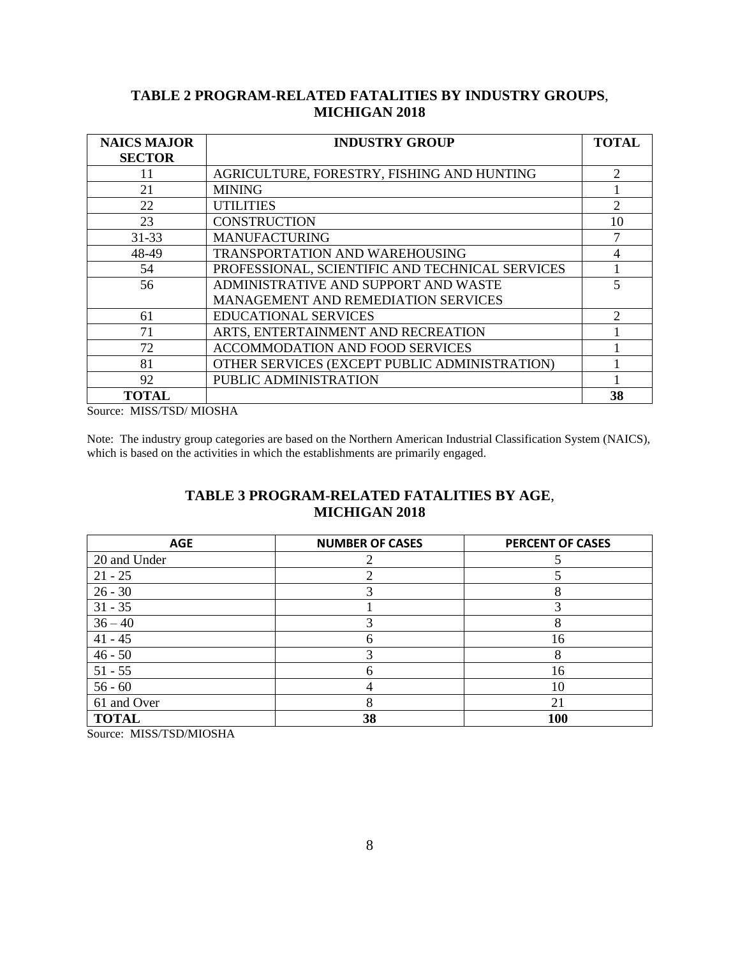# **TABLE 2 PROGRAM-RELATED FATALITIES BY INDUSTRY GROUPS**, **MICHIGAN 2018**

<span id="page-8-0"></span>

| <b>NAICS MAJOR</b> | <b>INDUSTRY GROUP</b>                           | <b>TOTAL</b>   |
|--------------------|-------------------------------------------------|----------------|
| <b>SECTOR</b>      |                                                 |                |
| 11                 | AGRICULTURE, FORESTRY, FISHING AND HUNTING      | 2              |
| 21                 | <b>MINING</b>                                   |                |
| 22                 | <b>UTILITIES</b>                                | $\overline{2}$ |
| 23                 | <b>CONSTRUCTION</b>                             | 10             |
| $31 - 33$          | <b>MANUFACTURING</b>                            | 7              |
| 48-49              | TRANSPORTATION AND WAREHOUSING                  | 4              |
| 54                 | PROFESSIONAL, SCIENTIFIC AND TECHNICAL SERVICES |                |
| 56                 | ADMINISTRATIVE AND SUPPORT AND WASTE            | 5              |
|                    | <b>MANAGEMENT AND REMEDIATION SERVICES</b>      |                |
| 61                 | <b>EDUCATIONAL SERVICES</b>                     | $\mathfrak{D}$ |
| 71                 | ARTS, ENTERTAINMENT AND RECREATION              |                |
| 72                 | <b>ACCOMMODATION AND FOOD SERVICES</b>          |                |
| 81                 | OTHER SERVICES (EXCEPT PUBLIC ADMINISTRATION)   |                |
| 92                 | PUBLIC ADMINISTRATION                           |                |
| <b>TOTAL</b>       |                                                 | 38             |

Source: MISS/TSD/ MIOSHA

Note:The industry group categories are based on the Northern American Industrial Classification System (NAICS), which is based on the activities in which the establishments are primarily engaged.

# **TABLE 3 PROGRAM-RELATED FATALITIES BY AGE**, **MICHIGAN 2018**

<span id="page-8-2"></span><span id="page-8-1"></span>

| <b>AGE</b>   | <b>NUMBER OF CASES</b> | <b>PERCENT OF CASES</b> |
|--------------|------------------------|-------------------------|
| 20 and Under |                        |                         |
| $21 - 25$    |                        |                         |
| $26 - 30$    |                        |                         |
| $31 - 35$    |                        |                         |
| $36 - 40$    |                        | 8                       |
| $41 - 45$    |                        | 16                      |
| $46 - 50$    |                        | 8                       |
| $51 - 55$    |                        | 16                      |
| $56 - 60$    |                        | 10                      |
| 61 and Over  |                        | 21                      |
| <b>TOTAL</b> | 38                     | 100                     |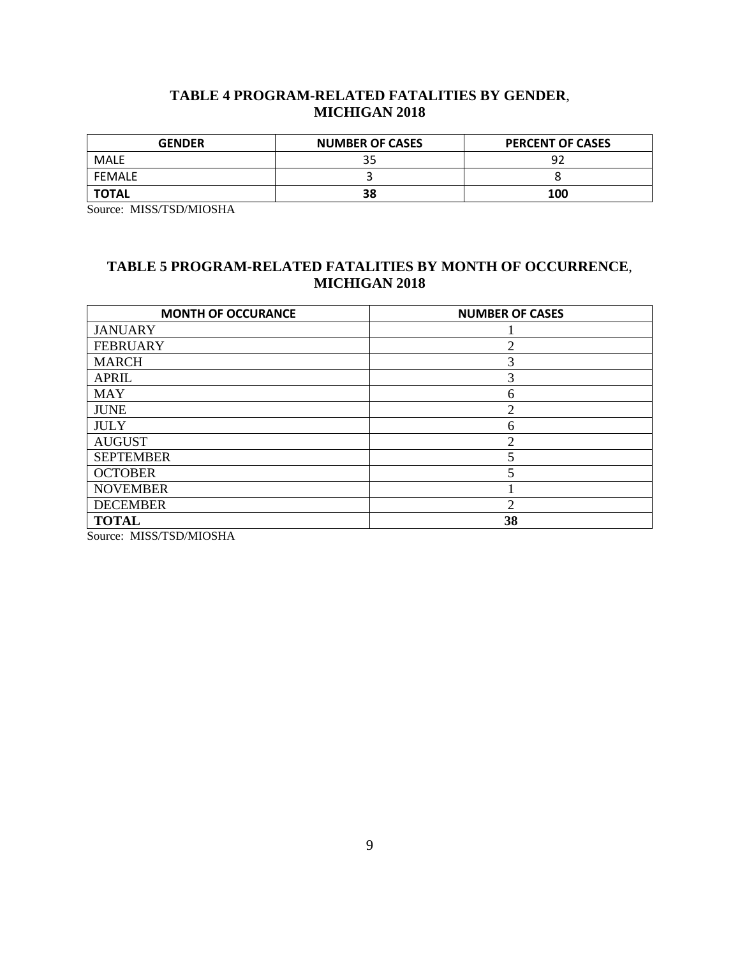# **TABLE 4 PROGRAM-RELATED FATALITIES BY GENDER**, **MICHIGAN 2018**

<span id="page-9-0"></span>

| <b>GENDER</b> | <b>NUMBER OF CASES</b> | <b>PERCENT OF CASES</b> |
|---------------|------------------------|-------------------------|
| MALE          |                        | ۹ĵ                      |
| FEMALE        |                        |                         |
| <b>TOTAL</b>  | 38                     | 100                     |

<span id="page-9-1"></span>Source: MISS/TSD/MIOSHA

# **TABLE 5 PROGRAM-RELATED FATALITIES BY MONTH OF OCCURRENCE**, **MICHIGAN 2018**

| <b>MONTH OF OCCURANCE</b> | <b>NUMBER OF CASES</b> |
|---------------------------|------------------------|
| <b>JANUARY</b>            |                        |
| <b>FEBRUARY</b>           | 2                      |
| <b>MARCH</b>              | 3                      |
| <b>APRIL</b>              | 3                      |
| <b>MAY</b>                | 6                      |
| <b>JUNE</b>               | 2                      |
| <b>JULY</b>               | 6                      |
| <b>AUGUST</b>             | ↑                      |
| <b>SEPTEMBER</b>          |                        |
| <b>OCTOBER</b>            |                        |
| <b>NOVEMBER</b>           |                        |
| <b>DECEMBER</b>           | $\overline{c}$         |
| <b>TOTAL</b>              | 38                     |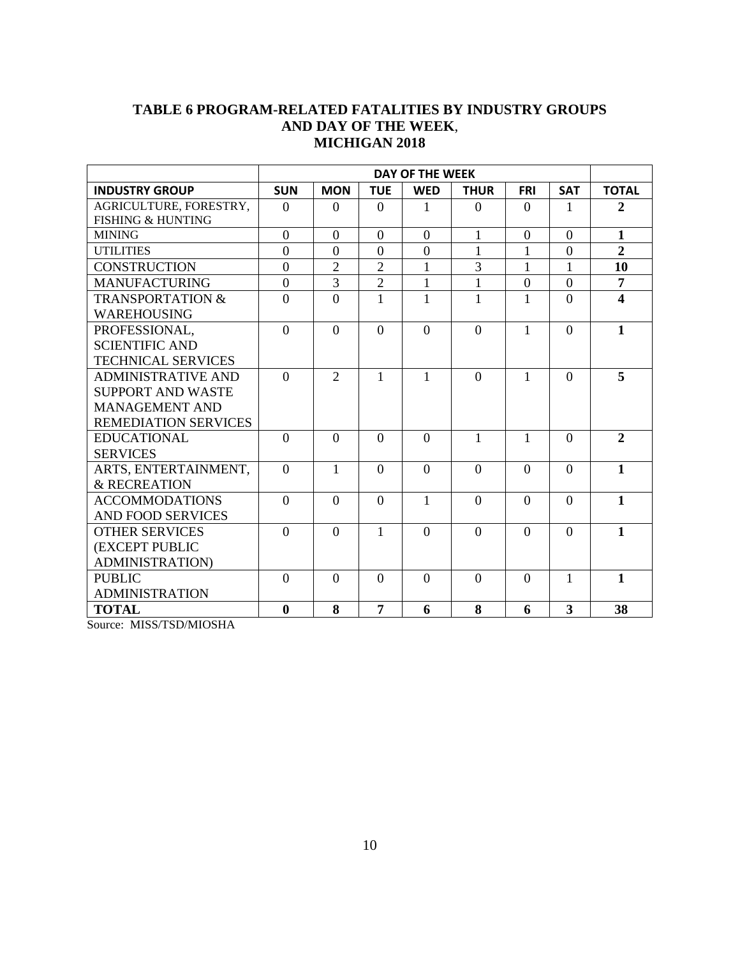# <span id="page-10-0"></span>**TABLE 6 PROGRAM-RELATED FATALITIES BY INDUSTRY GROUPS AND DAY OF THE WEEK**, **MICHIGAN 2018**

|                              | <b>DAY OF THE WEEK</b> |                |                |                |                |              |                |                         |
|------------------------------|------------------------|----------------|----------------|----------------|----------------|--------------|----------------|-------------------------|
| <b>INDUSTRY GROUP</b>        | <b>SUN</b>             | <b>MON</b>     | <b>TUE</b>     | <b>WED</b>     | <b>THUR</b>    | <b>FRI</b>   | <b>SAT</b>     | <b>TOTAL</b>            |
| AGRICULTURE, FORESTRY,       | $\theta$               | $\Omega$       | $\Omega$       | 1              | $\Omega$       | $\Omega$     | 1              | $\overline{2}$          |
| <b>FISHING &amp; HUNTING</b> |                        |                |                |                |                |              |                |                         |
| <b>MINING</b>                | $\theta$               | $\Omega$       | $\Omega$       | $\Omega$       | 1              | $\theta$     | $\Omega$       | $\mathbf{1}$            |
| <b>UTILITIES</b>             | $\mathbf{0}$           | $\overline{0}$ | $\overline{0}$ | $\overline{0}$ | 1              | $\mathbf{1}$ | $\overline{0}$ | $\overline{2}$          |
| <b>CONSTRUCTION</b>          | $\overline{0}$         | $\overline{2}$ | $\overline{2}$ | $\mathbf{1}$   | $\overline{3}$ | 1            | $\mathbf{1}$   | 10                      |
| <b>MANUFACTURING</b>         | $\overline{0}$         | 3              | $\overline{2}$ | 1              | $\mathbf{1}$   | $\theta$     | $\overline{0}$ | $\overline{7}$          |
| <b>TRANSPORTATION &amp;</b>  | $\overline{0}$         | $\theta$       | $\mathbf{1}$   | 1              | $\mathbf{1}$   | 1            | $\Omega$       | $\overline{\mathbf{4}}$ |
| <b>WAREHOUSING</b>           |                        |                |                |                |                |              |                |                         |
| PROFESSIONAL,                | $\theta$               | $\theta$       | $\Omega$       | $\Omega$       | $\Omega$       | 1            | $\Omega$       | $\mathbf{1}$            |
| <b>SCIENTIFIC AND</b>        |                        |                |                |                |                |              |                |                         |
| <b>TECHNICAL SERVICES</b>    |                        |                |                |                |                |              |                |                         |
| <b>ADMINISTRATIVE AND</b>    | $\theta$               | $\overline{2}$ | $\mathbf{1}$   | 1              | $\theta$       | 1            | $\Omega$       | 5                       |
| <b>SUPPORT AND WASTE</b>     |                        |                |                |                |                |              |                |                         |
| <b>MANAGEMENT AND</b>        |                        |                |                |                |                |              |                |                         |
| <b>REMEDIATION SERVICES</b>  |                        |                |                |                |                |              |                |                         |
| <b>EDUCATIONAL</b>           | $\theta$               | $\theta$       | $\Omega$       | $\Omega$       | 1              | 1            | $\Omega$       | $\overline{2}$          |
| <b>SERVICES</b>              |                        |                |                |                |                |              |                |                         |
| ARTS, ENTERTAINMENT,         | $\theta$               | 1              | $\Omega$       | $\Omega$       | $\Omega$       | $\Omega$     | $\Omega$       | $\mathbf{1}$            |
| & RECREATION                 |                        |                |                |                |                |              |                |                         |
| <b>ACCOMMODATIONS</b>        | $\theta$               | $\theta$       | $\Omega$       | $\mathbf{1}$   | $\Omega$       | $\theta$     | $\Omega$       | $\mathbf{1}$            |
| <b>AND FOOD SERVICES</b>     |                        |                |                |                |                |              |                |                         |
| <b>OTHER SERVICES</b>        | $\Omega$               | $\Omega$       | 1              | $\Omega$       | $\Omega$       | $\Omega$     | $\Omega$       | $\mathbf{1}$            |
| (EXCEPT PUBLIC               |                        |                |                |                |                |              |                |                         |
| <b>ADMINISTRATION)</b>       |                        |                |                |                |                |              |                |                         |
| <b>PUBLIC</b>                | $\overline{0}$         | $\theta$       | $\Omega$       | $\Omega$       | $\theta$       | $\theta$     | $\mathbf{1}$   | $\mathbf{1}$            |
| <b>ADMINISTRATION</b>        |                        |                |                |                |                |              |                |                         |
| <b>TOTAL</b>                 | $\boldsymbol{0}$       | 8              | $\overline{7}$ | 6              | 8              | 6            | 3              | 38                      |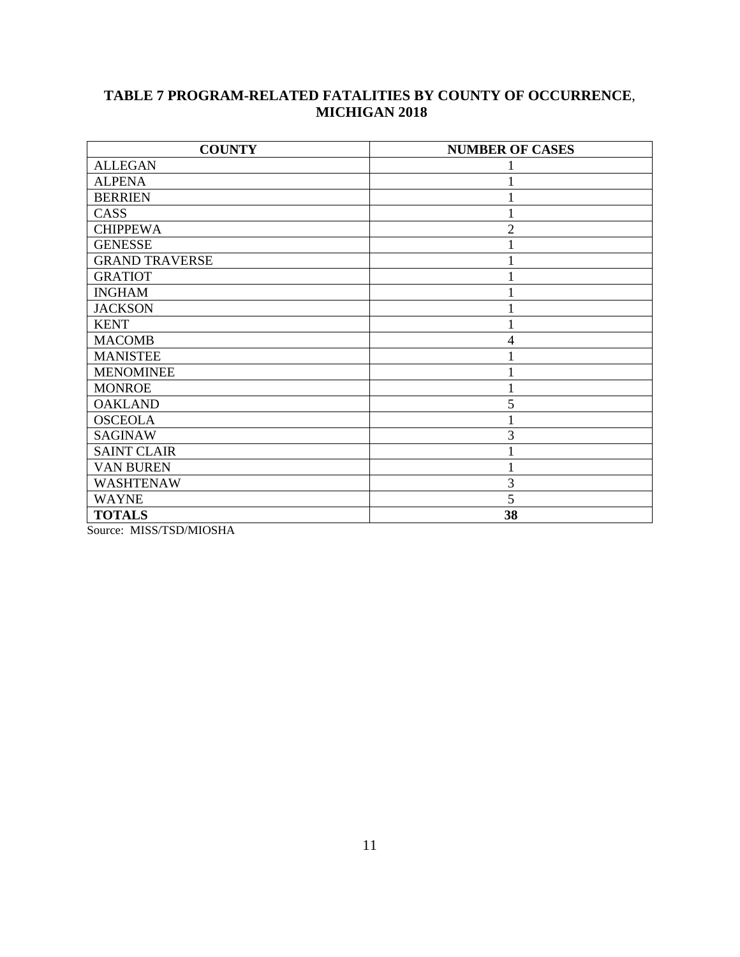# <span id="page-11-0"></span>**TABLE 7 PROGRAM-RELATED FATALITIES BY COUNTY OF OCCURRENCE**, **MICHIGAN 2018**

| <b>COUNTY</b>         | <b>NUMBER OF CASES</b> |
|-----------------------|------------------------|
| <b>ALLEGAN</b>        |                        |
| <b>ALPENA</b>         |                        |
| <b>BERRIEN</b>        |                        |
| CASS                  |                        |
| <b>CHIPPEWA</b>       | $\overline{2}$         |
| <b>GENESSE</b>        |                        |
| <b>GRAND TRAVERSE</b> |                        |
| <b>GRATIOT</b>        |                        |
| <b>INGHAM</b>         |                        |
| <b>JACKSON</b>        |                        |
| <b>KENT</b>           |                        |
| <b>MACOMB</b>         | $\overline{4}$         |
| <b>MANISTEE</b>       |                        |
| <b>MENOMINEE</b>      |                        |
| <b>MONROE</b>         |                        |
| <b>OAKLAND</b>        | 5                      |
| <b>OSCEOLA</b>        |                        |
| <b>SAGINAW</b>        | 3                      |
| <b>SAINT CLAIR</b>    |                        |
| <b>VAN BUREN</b>      |                        |
| <b>WASHTENAW</b>      | 3                      |
| <b>WAYNE</b>          | 5                      |
| <b>TOTALS</b>         | 38                     |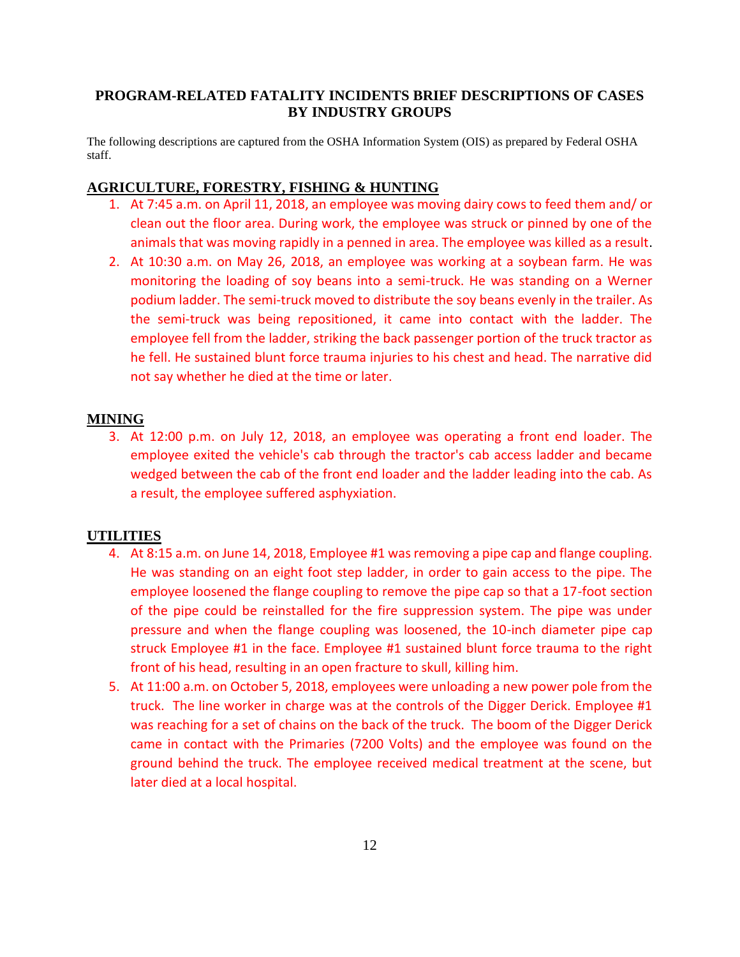### <span id="page-12-0"></span>**PROGRAM-RELATED FATALITY INCIDENTS BRIEF DESCRIPTIONS OF CASES BY INDUSTRY GROUPS**

The following descriptions are captured from the OSHA Information System (OIS) as prepared by Federal OSHA staff.

### <span id="page-12-1"></span>**AGRICULTURE, FORESTRY, FISHING & HUNTING**

- 1. At 7:45 a.m. on April 11, 2018, an employee was moving dairy cows to feed them and/ or clean out the floor area. During work, the employee was struck or pinned by one of the animals that was moving rapidly in a penned in area. The employee was killed as a result.
- 2. At 10:30 a.m. on May 26, 2018, an employee was working at a soybean farm. He was monitoring the loading of soy beans into a semi-truck. He was standing on a Werner podium ladder. The semi-truck moved to distribute the soy beans evenly in the trailer. As the semi-truck was being repositioned, it came into contact with the ladder. The employee fell from the ladder, striking the back passenger portion of the truck tractor as he fell. He sustained blunt force trauma injuries to his chest and head. The narrative did not say whether he died at the time or later.

#### <span id="page-12-2"></span>**MINING**

3. At 12:00 p.m. on July 12, 2018, an employee was operating a front end loader. The employee exited the vehicle's cab through the tractor's cab access ladder and became wedged between the cab of the front end loader and the ladder leading into the cab. As a result, the employee suffered asphyxiation.

#### <span id="page-12-3"></span>**UTILITIES**

- 4. At 8:15 a.m. on June 14, 2018, Employee #1 was removing a pipe cap and flange coupling. He was standing on an eight foot step ladder, in order to gain access to the pipe. The employee loosened the flange coupling to remove the pipe cap so that a 17-foot section of the pipe could be reinstalled for the fire suppression system. The pipe was under pressure and when the flange coupling was loosened, the 10-inch diameter pipe cap struck Employee #1 in the face. Employee #1 sustained blunt force trauma to the right front of his head, resulting in an open fracture to skull, killing him.
- 5. At 11:00 a.m. on October 5, 2018, employees were unloading a new power pole from the truck. The line worker in charge was at the controls of the Digger Derick. Employee #1 was reaching for a set of chains on the back of the truck. The boom of the Digger Derick came in contact with the Primaries (7200 Volts) and the employee was found on the ground behind the truck. The employee received medical treatment at the scene, but later died at a local hospital.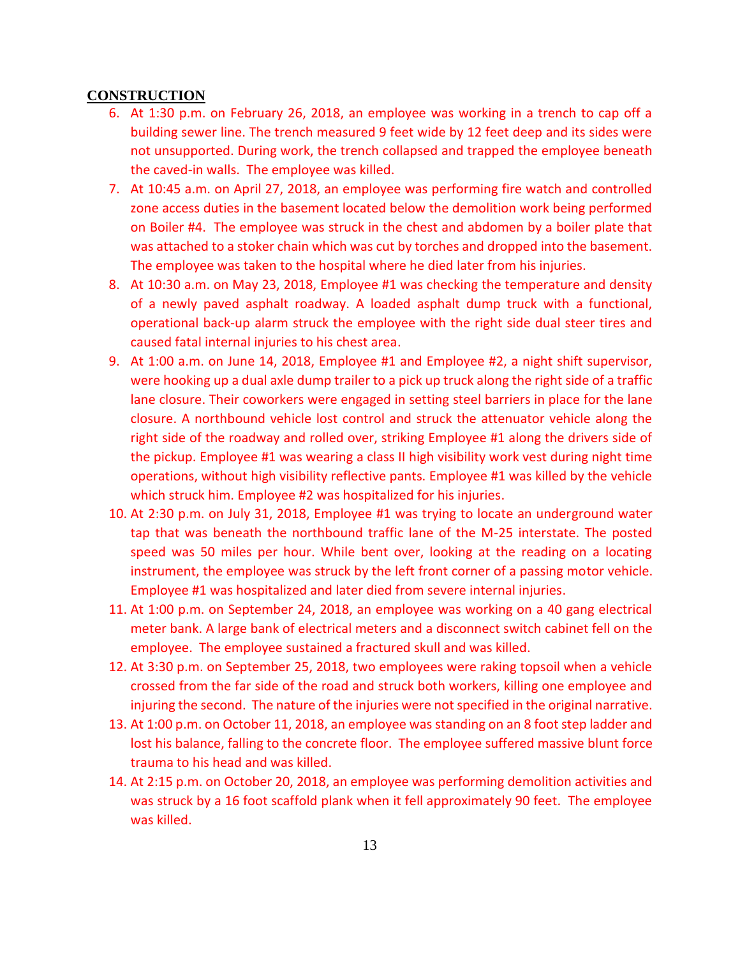#### <span id="page-13-0"></span>**CONSTRUCTION**

- 6. At 1:30 p.m. on February 26, 2018, an employee was working in a trench to cap off a building sewer line. The trench measured 9 feet wide by 12 feet deep and its sides were not unsupported. During work, the trench collapsed and trapped the employee beneath the caved-in walls. The employee was killed.
- 7. At 10:45 a.m. on April 27, 2018, an employee was performing fire watch and controlled zone access duties in the basement located below the demolition work being performed on Boiler #4. The employee was struck in the chest and abdomen by a boiler plate that was attached to a stoker chain which was cut by torches and dropped into the basement. The employee was taken to the hospital where he died later from his injuries.
- 8. At 10:30 a.m. on May 23, 2018, Employee #1 was checking the temperature and density of a newly paved asphalt roadway. A loaded asphalt dump truck with a functional, operational back-up alarm struck the employee with the right side dual steer tires and caused fatal internal injuries to his chest area.
- 9. At 1:00 a.m. on June 14, 2018, Employee #1 and Employee #2, a night shift supervisor, were hooking up a dual axle dump trailer to a pick up truck along the right side of a traffic lane closure. Their coworkers were engaged in setting steel barriers in place for the lane closure. A northbound vehicle lost control and struck the attenuator vehicle along the right side of the roadway and rolled over, striking Employee #1 along the drivers side of the pickup. Employee #1 was wearing a class II high visibility work vest during night time operations, without high visibility reflective pants. Employee #1 was killed by the vehicle which struck him. Employee #2 was hospitalized for his injuries.
- 10. At 2:30 p.m. on July 31, 2018, Employee #1 was trying to locate an underground water tap that was beneath the northbound traffic lane of the M-25 interstate. The posted speed was 50 miles per hour. While bent over, looking at the reading on a locating instrument, the employee was struck by the left front corner of a passing motor vehicle. Employee #1 was hospitalized and later died from severe internal injuries.
- 11. At 1:00 p.m. on September 24, 2018, an employee was working on a 40 gang electrical meter bank. A large bank of electrical meters and a disconnect switch cabinet fell on the employee. The employee sustained a fractured skull and was killed.
- 12. At 3:30 p.m. on September 25, 2018, two employees were raking topsoil when a vehicle crossed from the far side of the road and struck both workers, killing one employee and injuring the second. The nature of the injuries were not specified in the original narrative.
- 13. At 1:00 p.m. on October 11, 2018, an employee was standing on an 8 foot step ladder and lost his balance, falling to the concrete floor. The employee suffered massive blunt force trauma to his head and was killed.
- 14. At 2:15 p.m. on October 20, 2018, an employee was performing demolition activities and was struck by a 16 foot scaffold plank when it fell approximately 90 feet. The employee was killed.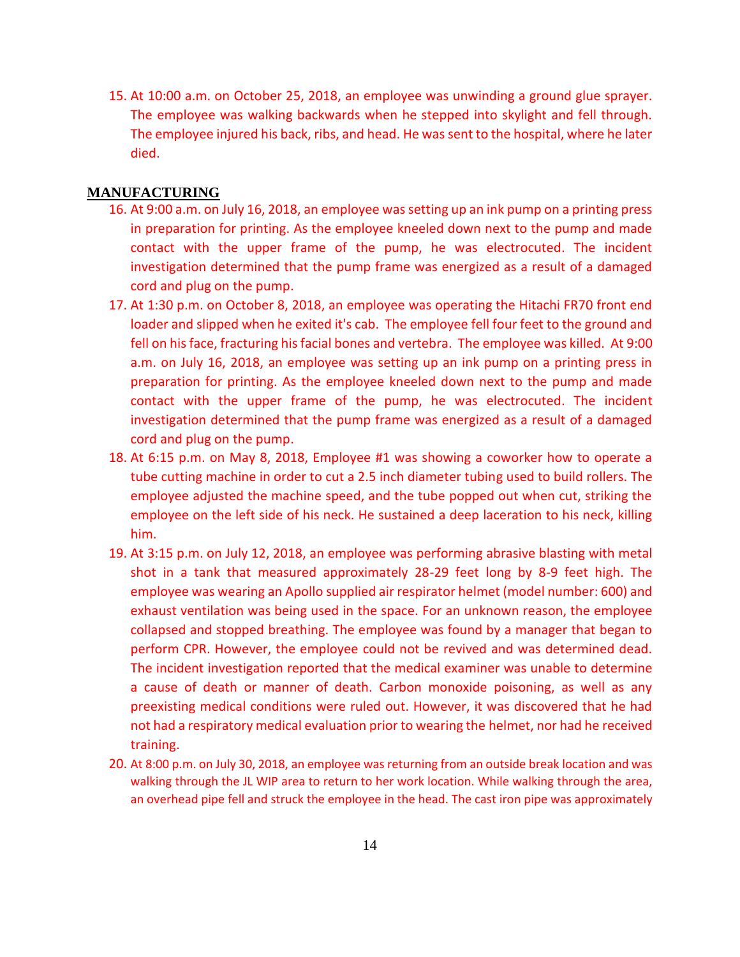15. At 10:00 a.m. on October 25, 2018, an employee was unwinding a ground glue sprayer. The employee was walking backwards when he stepped into skylight and fell through. The employee injured his back, ribs, and head. He was sent to the hospital, where he later died.

#### <span id="page-14-0"></span>**MANUFACTURING**

- 16. At 9:00 a.m. on July 16, 2018, an employee was setting up an ink pump on a printing press in preparation for printing. As the employee kneeled down next to the pump and made contact with the upper frame of the pump, he was electrocuted. The incident investigation determined that the pump frame was energized as a result of a damaged cord and plug on the pump.
- 17. At 1:30 p.m. on October 8, 2018, an employee was operating the Hitachi FR70 front end loader and slipped when he exited it's cab. The employee fell four feet to the ground and fell on his face, fracturing his facial bones and vertebra. The employee was killed. At 9:00 a.m. on July 16, 2018, an employee was setting up an ink pump on a printing press in preparation for printing. As the employee kneeled down next to the pump and made contact with the upper frame of the pump, he was electrocuted. The incident investigation determined that the pump frame was energized as a result of a damaged cord and plug on the pump.
- 18. At 6:15 p.m. on May 8, 2018, Employee #1 was showing a coworker how to operate a tube cutting machine in order to cut a 2.5 inch diameter tubing used to build rollers. The employee adjusted the machine speed, and the tube popped out when cut, striking the employee on the left side of his neck. He sustained a deep laceration to his neck, killing him.
- 19. At 3:15 p.m. on July 12, 2018, an employee was performing abrasive blasting with metal shot in a tank that measured approximately 28-29 feet long by 8-9 feet high. The employee was wearing an Apollo supplied air respirator helmet (model number: 600) and exhaust ventilation was being used in the space. For an unknown reason, the employee collapsed and stopped breathing. The employee was found by a manager that began to perform CPR. However, the employee could not be revived and was determined dead. The incident investigation reported that the medical examiner was unable to determine a cause of death or manner of death. Carbon monoxide poisoning, as well as any preexisting medical conditions were ruled out. However, it was discovered that he had not had a respiratory medical evaluation prior to wearing the helmet, nor had he received training.
- 20. At 8:00 p.m. on July 30, 2018, an employee was returning from an outside break location and was walking through the JL WIP area to return to her work location. While walking through the area, an overhead pipe fell and struck the employee in the head. The cast iron pipe was approximately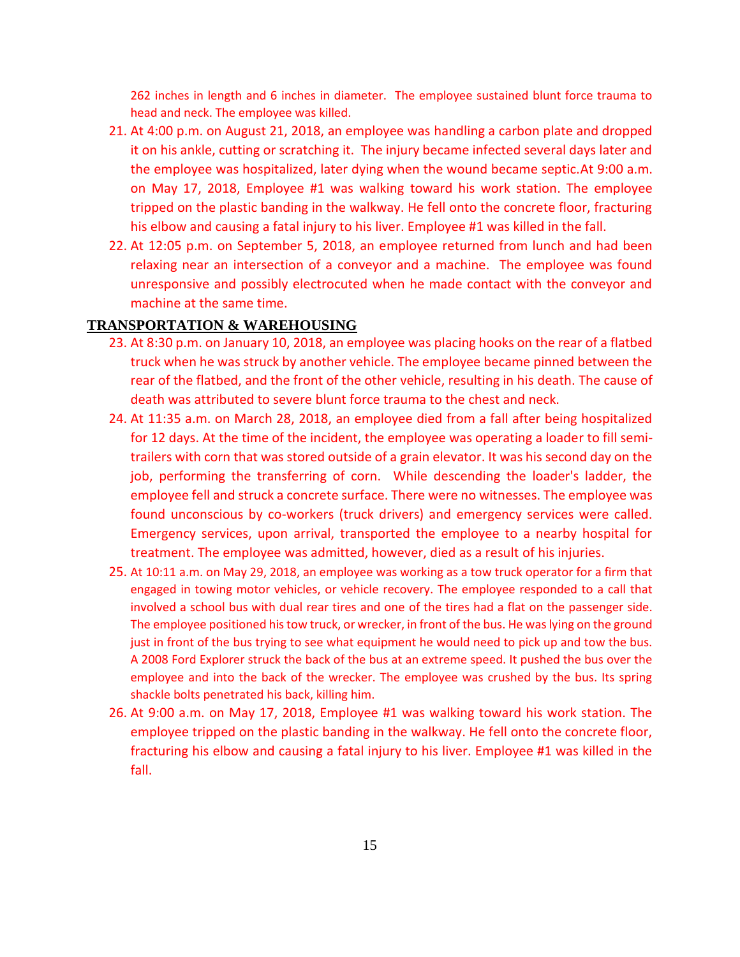262 inches in length and 6 inches in diameter. The employee sustained blunt force trauma to head and neck. The employee was killed.

- 21. At 4:00 p.m. on August 21, 2018, an employee was handling a carbon plate and dropped it on his ankle, cutting or scratching it. The injury became infected several days later and the employee was hospitalized, later dying when the wound became septic.At 9:00 a.m. on May 17, 2018, Employee #1 was walking toward his work station. The employee tripped on the plastic banding in the walkway. He fell onto the concrete floor, fracturing his elbow and causing a fatal injury to his liver. Employee #1 was killed in the fall.
- 22. At 12:05 p.m. on September 5, 2018, an employee returned from lunch and had been relaxing near an intersection of a conveyor and a machine. The employee was found unresponsive and possibly electrocuted when he made contact with the conveyor and machine at the same time.

#### <span id="page-15-0"></span>**TRANSPORTATION & WAREHOUSING**

- 23. At 8:30 p.m. on January 10, 2018, an employee was placing hooks on the rear of a flatbed truck when he was struck by another vehicle. The employee became pinned between the rear of the flatbed, and the front of the other vehicle, resulting in his death. The cause of death was attributed to severe blunt force trauma to the chest and neck.
- 24. At 11:35 a.m. on March 28, 2018, an employee died from a fall after being hospitalized for 12 days. At the time of the incident, the employee was operating a loader to fill semitrailers with corn that was stored outside of a grain elevator. It was his second day on the job, performing the transferring of corn. While descending the loader's ladder, the employee fell and struck a concrete surface. There were no witnesses. The employee was found unconscious by co-workers (truck drivers) and emergency services were called. Emergency services, upon arrival, transported the employee to a nearby hospital for treatment. The employee was admitted, however, died as a result of his injuries.
- 25. At 10:11 a.m. on May 29, 2018, an employee was working as a tow truck operator for a firm that engaged in towing motor vehicles, or vehicle recovery. The employee responded to a call that involved a school bus with dual rear tires and one of the tires had a flat on the passenger side. The employee positioned his tow truck, or wrecker, in front of the bus. He was lying on the ground just in front of the bus trying to see what equipment he would need to pick up and tow the bus. A 2008 Ford Explorer struck the back of the bus at an extreme speed. It pushed the bus over the employee and into the back of the wrecker. The employee was crushed by the bus. Its spring shackle bolts penetrated his back, killing him.
- 26. At 9:00 a.m. on May 17, 2018, Employee #1 was walking toward his work station. The employee tripped on the plastic banding in the walkway. He fell onto the concrete floor, fracturing his elbow and causing a fatal injury to his liver. Employee #1 was killed in the fall.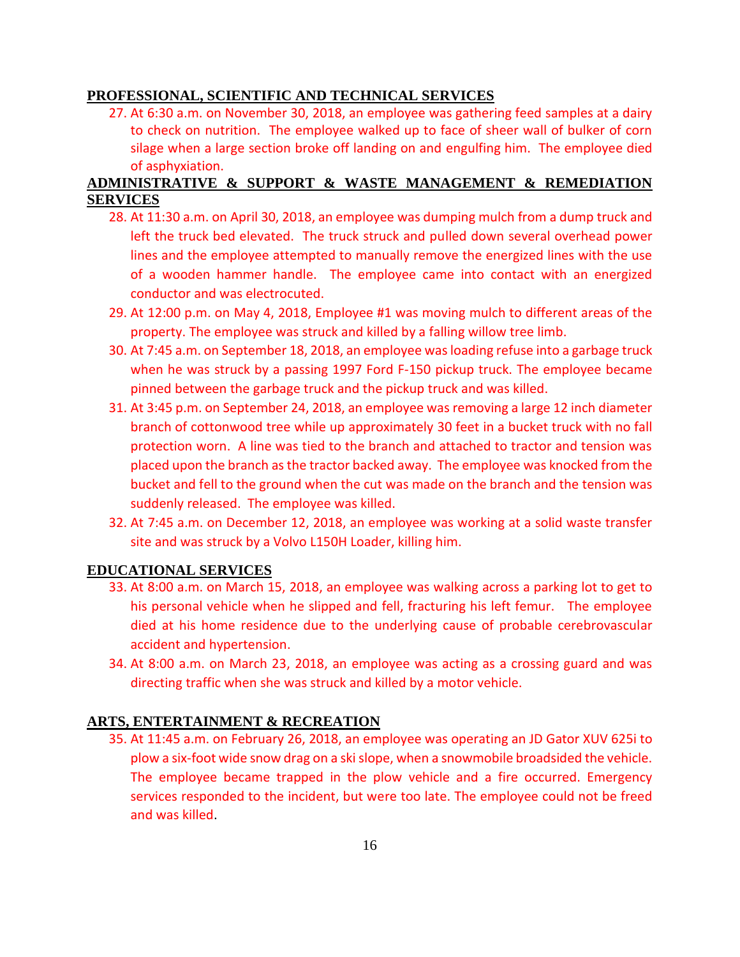#### <span id="page-16-1"></span><span id="page-16-0"></span>**PROFESSIONAL, SCIENTIFIC AND TECHNICAL SERVICES**

27. At 6:30 a.m. on November 30, 2018, an employee was gathering feed samples at a dairy to check on nutrition. The employee walked up to face of sheer wall of bulker of corn silage when a large section broke off landing on and engulfing him. The employee died of asphyxiation.

# **ADMINISTRATIVE & SUPPORT & WASTE MANAGEMENT & REMEDIATION SERVICES**

- <span id="page-16-2"></span>28. At 11:30 a.m. on April 30, 2018, an employee was dumping mulch from a dump truck and left the truck bed elevated. The truck struck and pulled down several overhead power lines and the employee attempted to manually remove the energized lines with the use of a wooden hammer handle. The employee came into contact with an energized conductor and was electrocuted.
- 29. At 12:00 p.m. on May 4, 2018, Employee #1 was moving mulch to different areas of the property. The employee was struck and killed by a falling willow tree limb.
- 30. At 7:45 a.m. on September 18, 2018, an employee was loading refuse into a garbage truck when he was struck by a passing 1997 Ford F-150 pickup truck. The employee became pinned between the garbage truck and the pickup truck and was killed.
- 31. At 3:45 p.m. on September 24, 2018, an employee was removing a large 12 inch diameter branch of cottonwood tree while up approximately 30 feet in a bucket truck with no fall protection worn. A line was tied to the branch and attached to tractor and tension was placed upon the branch as the tractor backed away. The employee was knocked from the bucket and fell to the ground when the cut was made on the branch and the tension was suddenly released. The employee was killed.
- 32. At 7:45 a.m. on December 12, 2018, an employee was working at a solid waste transfer site and was struck by a Volvo L150H Loader, killing him.

### **EDUCATIONAL SERVICES**

- 33. At 8:00 a.m. on March 15, 2018, an employee was walking across a parking lot to get to his personal vehicle when he slipped and fell, fracturing his left femur. The employee died at his home residence due to the underlying cause of probable cerebrovascular accident and hypertension.
- 34. At 8:00 a.m. on March 23, 2018, an employee was acting as a crossing guard and was directing traffic when she was struck and killed by a motor vehicle.

### <span id="page-16-3"></span>**ARTS, ENTERTAINMENT & RECREATION**

35. At 11:45 a.m. on February 26, 2018, an employee was operating an JD Gator XUV 625i to plow a six-foot wide snow drag on a ski slope, when a snowmobile broadsided the vehicle. The employee became trapped in the plow vehicle and a fire occurred. Emergency services responded to the incident, but were too late. The employee could not be freed and was killed.